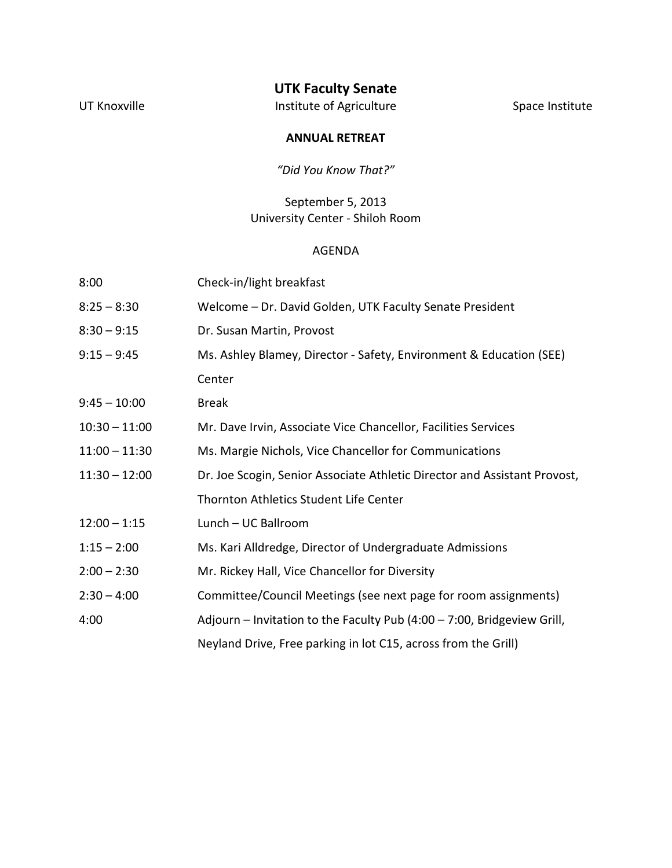## **UTK Faculty Senate**

UT Knoxville **Institute of Agriculture** Communisty Space Institute

### **ANNUAL RETREAT**

*"Did You Know That?"*

## September 5, 2013 University Center - Shiloh Room

#### AGENDA

| 8:00            | Check-in/light breakfast                                                  |
|-----------------|---------------------------------------------------------------------------|
| $8:25 - 8:30$   | Welcome - Dr. David Golden, UTK Faculty Senate President                  |
| $8:30 - 9:15$   | Dr. Susan Martin, Provost                                                 |
| $9:15 - 9:45$   | Ms. Ashley Blamey, Director - Safety, Environment & Education (SEE)       |
|                 | Center                                                                    |
| $9:45 - 10:00$  | <b>Break</b>                                                              |
| $10:30 - 11:00$ | Mr. Dave Irvin, Associate Vice Chancellor, Facilities Services            |
| $11:00 - 11:30$ | Ms. Margie Nichols, Vice Chancellor for Communications                    |
| $11:30 - 12:00$ | Dr. Joe Scogin, Senior Associate Athletic Director and Assistant Provost, |
|                 | Thornton Athletics Student Life Center                                    |
| $12:00 - 1:15$  | Lunch - UC Ballroom                                                       |
| $1:15 - 2:00$   | Ms. Kari Alldredge, Director of Undergraduate Admissions                  |
| $2:00 - 2:30$   | Mr. Rickey Hall, Vice Chancellor for Diversity                            |
| $2:30 - 4:00$   | Committee/Council Meetings (see next page for room assignments)           |
| 4:00            | Adjourn - Invitation to the Faculty Pub (4:00 - 7:00, Bridgeview Grill,   |
|                 | Neyland Drive, Free parking in lot C15, across from the Grill)            |